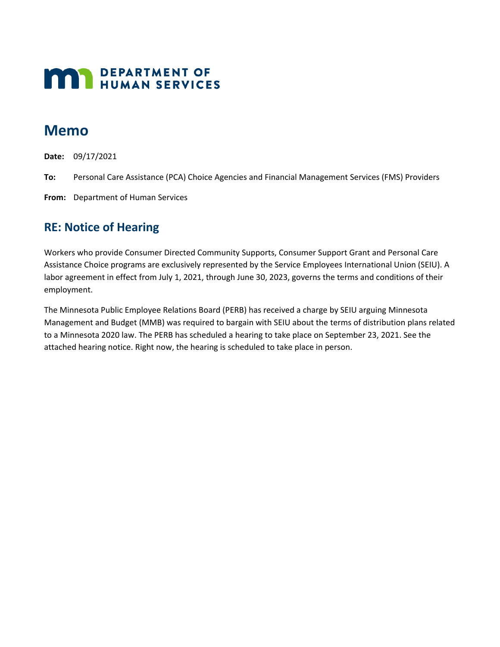# **MAN** DEPARTMENT OF

## **Memo**

**Date:** 09/17/2021

- **To:** Personal Care Assistance (PCA) Choice Agencies and Financial Management Services (FMS) Providers
- **From:** Department of Human Services

### **RE: Notice of Hearing**

Workers who provide Consumer Directed Community Supports, Consumer Support Grant and Personal Care Assistance Choice programs are exclusively represented by the Service Employees International Union (SEIU). A labor agreement in effect from July 1, 2021, through June 30, 2023, governs the terms and conditions of their employment.

The Minnesota Public Employee Relations Board (PERB) has received a charge by SEIU arguing Minnesota Management and Budget (MMB) was required to bargain with SEIU about the terms of distribution plans related to a Minnesota 2020 law. The PERB has scheduled a hearing to take place on September 23, 2021. See the attached hearing notice. Right now, the hearing is scheduled to take place in person.